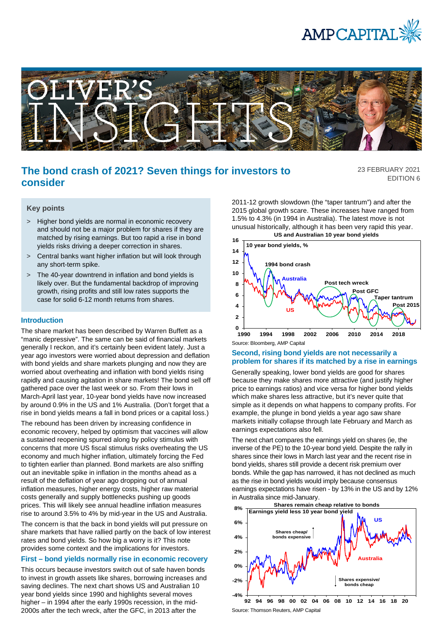



# **The bond crash of 2021? Seven things for investors to consider**

23 FEBRUARY 2021 EDITION 6

#### **Key points**

- > Higher bond yields are normal in economic recovery and should not be a major problem for shares if they are matched by rising earnings. But too rapid a rise in bond yields risks driving a deeper correction in shares.
- > Central banks want higher inflation but will look through any short-term spike.
- > The 40-year downtrend in inflation and bond yields is likely over. But the fundamental backdrop of improving growth, rising profits and still low rates supports the case for solid 6-12 month returns from shares.

#### **Introduction**

The share market has been described by Warren Buffett as a "manic depressive". The same can be said of financial markets generally I reckon, and it's certainly been evident lately. Just a year ago investors were worried about depression and deflation with bond yields and share markets plunging and now they are worried about overheating and inflation with bond yields rising rapidly and causing agitation in share markets! The bond sell off gathered pace over the last week or so. From their lows in March-April last year, 10-year bond yields have now increased by around 0.9% in the US and 1% Australia. (Don't forget that a rise in bond yields means a fall in bond prices or a capital loss.)

The rebound has been driven by increasing confidence in economic recovery, helped by optimism that vaccines will allow a sustained reopening spurred along by policy stimulus with concerns that more US fiscal stimulus risks overheating the US economy and much higher inflation, ultimately forcing the Fed to tighten earlier than planned. Bond markets are also sniffing out an inevitable spike in inflation in the months ahead as a result of the deflation of year ago dropping out of annual inflation measures, higher energy costs, higher raw material costs generally and supply bottlenecks pushing up goods prices. This will likely see annual headline inflation measures rise to around 3.5% to 4% by mid-year in the US and Australia.

The concern is that the back in bond yields will put pressure on share markets that have rallied partly on the back of low interest rates and bond yields. So how big a worry is it? This note provides some context and the implications for investors.

#### **First – bond yields normally rise in economic recovery**

This occurs because investors switch out of safe haven bonds to invest in growth assets like shares, borrowing increases and saving declines. The next chart shows US and Australian 10 year bond yields since 1990 and highlights several moves higher – in 1994 after the early 1990s recession, in the mid-2000s after the tech wreck, after the GFC, in 2013 after the

2011-12 growth slowdown (the "taper tantrum") and after the 2015 global growth scare. These increases have ranged from 1.5% to 4.3% (in 1994 in Australia). The latest move is not unusual historically, although it has been very rapid this year. **US and Australian 10 year bond yields**



Source: Bloomberg, AMP Capital

#### **Second, rising bond yields are not necessarily a problem for shares if its matched by a rise in earnings**

Generally speaking, lower bond yields are good for shares because they make shares more attractive (and justify higher price to earnings ratios) and vice versa for higher bond yields which make shares less attractive, but it's never quite that simple as it depends on what happens to company profits. For example, the plunge in bond yields a year ago saw share markets initially collapse through late February and March as earnings expectations also fell.

The next chart compares the earnings yield on shares (ie, the inverse of the PE) to the 10-year bond yield. Despite the rally in shares since their lows in March last year and the recent rise in bond yields, shares still provide a decent risk premium over bonds. While the gap has narrowed, it has not declined as much as the rise in bond yields would imply because consensus earnings expectations have risen - by 13% in the US and by 12% in Australia since mid-January.



Source: Thomson Reuters, AMP Capital **92 94 96 98 00 02 04 06 08 10 12 14 16 18 20**